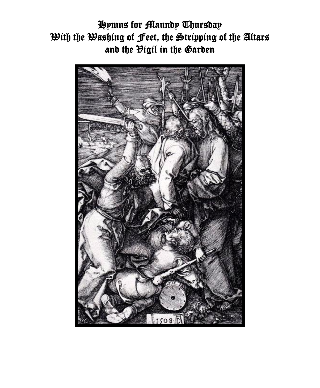Hymns for Maundy Thursday With the Washing of Feet, the Stripping of the Altars and the Higil in the Garden

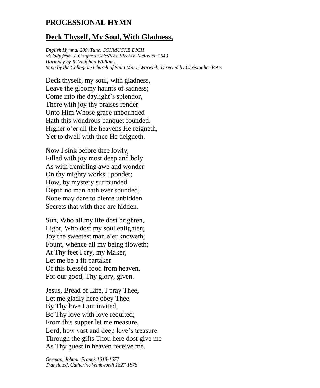### **PROCESSIONAL HYMN**

#### **Deck Thyself, My Soul, With Gladness,**

*English Hymnal 280, Tune: SCHMUCKE DICH Melody from J. Cruger's Geistliche Kirchen-Melodien 1649 Harmony by R..Vaughan Williams Sung by the Collegiate Church of Saint Mary, Warwick, Directed by Christopher Betts*

Deck thyself, my soul, with gladness, Leave the gloomy haunts of sadness; Come into the daylight's splendor, There with joy thy praises render Unto Him Whose grace unbounded Hath this wondrous banquet founded. Higher o'er all the heavens He reigneth, Yet to dwell with thee He deigneth.

Now I sink before thee lowly, Filled with joy most deep and holy, As with trembling awe and wonder On thy mighty works I ponder; How, by mystery surrounded, Depth no man hath ever sounded, None may dare to pierce unbidden Secrets that with thee are hidden.

Sun, Who all my life dost brighten, Light, Who dost my soul enlighten; Joy the sweetest man e'er knoweth; Fount, whence all my being floweth; At Thy feet I cry, my Maker, Let me be a fit partaker Of this blessèd food from heaven, For our good, Thy glory, given.

Jesus, Bread of Life, I pray Thee, Let me gladly here obey Thee. By Thy love I am invited, Be Thy love with love requited; From this supper let me measure, Lord, how vast and deep love's treasure. Through the gifts Thou here dost give me As Thy guest in heaven receive me.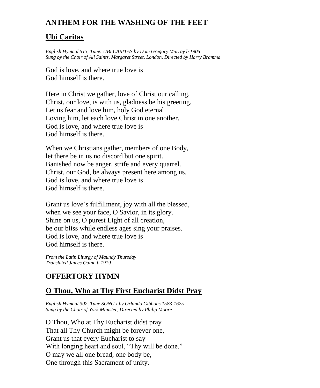# **ANTHEM FOR THE WASHING OF THE FEET**

### **Ubi Caritas**

*English Hymnal 513, Tune: UBI CARITAS by Dom Gregory Murray b 1905 Sung by the Choir of All Saints, Margaret Street, London, Directed by Harry Bramma*

God is love, and where true love is God himself is there.

Here in Christ we gather, love of Christ our calling. Christ, our love, is with us, gladness be his greeting. Let us fear and love him, holy God eternal. Loving him, let each love Christ in one another. God is love, and where true love is God himself is there.

When we Christians gather, members of one Body, let there be in us no discord but one spirit. Banished now be anger, strife and every quarrel. Christ, our God, be always present here among us. God is love, and where true love is God himself is there.

Grant us love's fulfillment, joy with all the blessed, when we see your face, O Savior, in its glory. Shine on us, O purest Light of all creation, be our bliss while endless ages sing your praises. God is love, and where true love is God himself is there.

*From the Latin Liturgy of Maundy Thursday Translated James Quinn b 1919*

## **OFFERTORY HYMN**

### **O Thou, Who at Thy First Eucharist Didst Pray**

*English Hymnal 302, Tune SONG I by Orlando Gibbons 1583-1625 Sung by the Choir of York Minister, Directed by Philip Moore*

O Thou, Who at Thy Eucharist didst pray That all Thy Church might be forever one, Grant us that every Eucharist to say With longing heart and soul, "Thy will be done." O may we all one bread, one body be, One through this Sacrament of unity.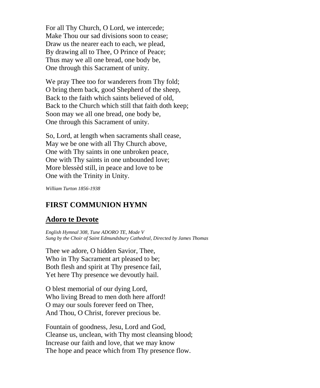For all Thy Church, O Lord, we intercede; Make Thou our sad divisions soon to cease; Draw us the nearer each to each, we plead, By drawing all to Thee, O Prince of Peace; Thus may we all one bread, one body be, One through this Sacrament of unity.

We pray Thee too for wanderers from Thy fold; O bring them back, good Shepherd of the sheep, Back to the faith which saints believed of old, Back to the Church which still that faith doth keep; Soon may we all one bread, one body be, One through this Sacrament of unity.

So, Lord, at length when sacraments shall cease, May we be one with all Thy Church above, One with Thy saints in one unbroken peace, One with Thy saints in one unbounded love; More blessèd still, in peace and love to be One with the Trinity in Unity.

*William Turton 1856-1938*

### **FIRST COMMUNION HYMN**

#### **Adoro te Devote**

*English Hymnal 308, Tune ADORO TE, Mode V Sung by the Choir of Saint Edmundsbury Cathedral, Directed by James Thomas*

Thee we adore, O hidden Savior, Thee, Who in Thy Sacrament art pleased to be; Both flesh and spirit at Thy presence fail, Yet here Thy presence we devoutly hail.

O blest memorial of our dying Lord, Who living Bread to men doth here afford! O may our souls forever feed on Thee, And Thou, O Christ, forever precious be.

Fountain of goodness, Jesu, Lord and God, Cleanse us, unclean, with Thy most cleansing blood; Increase our faith and love, that we may know The hope and peace which from Thy presence flow.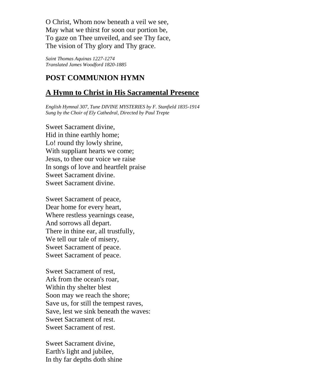O Christ, Whom now beneath a veil we see, May what we thirst for soon our portion be, To gaze on Thee unveiled, and see Thy face, The vision of Thy glory and Thy grace.

*Saint Thomas Aquinas 1227-1274 Translated James Woodford 1820-1885*

## **POST COMMUNION HYMN**

### **A Hymn to Christ in His Sacramental Presence**

*English Hymnal 307, Tune DIVINE MYSTERIES by F. Stanfield 1835-1914 Sung by the Choir of Ely Cathedral, Directed by Paul Trepte*

Sweet Sacrament divine, Hid in thine earthly home; Lo! round thy lowly shrine, With suppliant hearts we come; Jesus, to thee our voice we raise In songs of love and heartfelt praise Sweet Sacrament divine. Sweet Sacrament divine.

Sweet Sacrament of peace, Dear home for every heart, Where restless yearnings cease, And sorrows all depart. There in thine ear, all trustfully, We tell our tale of misery. Sweet Sacrament of peace. Sweet Sacrament of peace.

Sweet Sacrament of rest, Ark from the ocean's roar, Within thy shelter blest Soon may we reach the shore; Save us, for still the tempest raves, Save, lest we sink beneath the waves: Sweet Sacrament of rest. Sweet Sacrament of rest.

Sweet Sacrament divine, Earth's light and jubilee, In thy far depths doth shine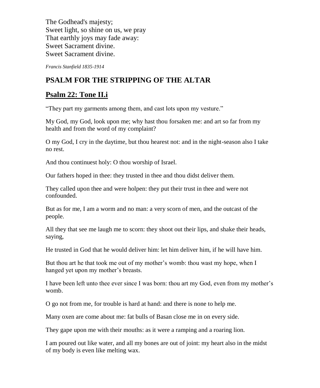The Godhead's majesty; Sweet light, so shine on us, we pray That earthly joys may fade away: Sweet Sacrament divine. Sweet Sacrament divine.

*Francis Stanfield 1835-1914*

# **PSALM FOR THE STRIPPING OF THE ALTAR**

### **Psalm 22: Tone II.i**

"They part my garments among them, and cast lots upon my vesture."

My God, my God, look upon me; why hast thou forsaken me: and art so far from my health and from the word of my complaint?

O my God, I cry in the daytime, but thou hearest not: and in the night-season also I take no rest.

And thou continuest holy: O thou worship of Israel.

Our fathers hoped in thee: they trusted in thee and thou didst deliver them.

They called upon thee and were holpen: they put their trust in thee and were not confounded.

But as for me, I am a worm and no man: a very scorn of men, and the outcast of the people.

All they that see me laugh me to scorn: they shoot out their lips, and shake their heads, saying,

He trusted in God that he would deliver him: let him deliver him, if he will have him.

But thou art he that took me out of my mother's womb: thou wast my hope, when I hanged yet upon my mother's breasts.

I have been left unto thee ever since I was born: thou art my God, even from my mother's womb.

O go not from me, for trouble is hard at hand: and there is none to help me.

Many oxen are come about me: fat bulls of Basan close me in on every side.

They gape upon me with their mouths: as it were a ramping and a roaring lion.

I am poured out like water, and all my bones are out of joint: my heart also in the midst of my body is even like melting wax.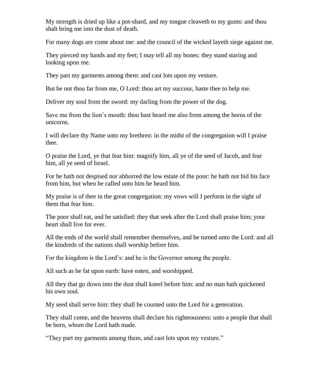My strength is dried up like a pot-shard, and my tongue cleaveth to my gums: and thou shalt bring me into the dust of death.

For many dogs are come about me: and the council of the wicked layeth siege against me.

They pierced my hands and my feet; I may tell all my bones: they stand staring and looking upon me.

They part my garments among them: and cast lots upon my vesture.

But be not thou far from me, O Lord: thou art my succour, haste thee to help me.

Deliver my soul from the sword: my darling from the power of the dog.

Save me from the lion's mouth: thou hast heard me also from among the horns of the unicorns.

I will declare thy Name unto my brethren: in the midst of the congregation will I praise thee.

O praise the Lord, ye that fear him: magnify him, all ye of the seed of Jacob, and fear him, all ye seed of Israel.

For he hath not despised nor abhorred the low estate of the poor: he hath not hid his face from him, but when he called unto him he heard him.

My praise is of thee in the great congregation: my vows will I perform in the sight of them that fear him.

The poor shall eat, and be satisfied: they that seek after the Lord shall praise him; your heart shall live for ever.

All the ends of the world shall remember themselves, and be turned unto the Lord: and all the kindreds of the nations shall worship before him.

For the kingdom is the Lord's: and he is the Governor among the people.

All such as be fat upon earth: have eaten, and worshipped.

All they that go down into the dust shall kneel before him: and no man hath quickened his own soul.

My seed shall serve him: they shall be counted unto the Lord for a generation.

They shall come, and the heavens shall declare his righteousness: unto a people that shall be born, whom the Lord hath made.

"They part my garments among them, and cast lots upon my vesture."